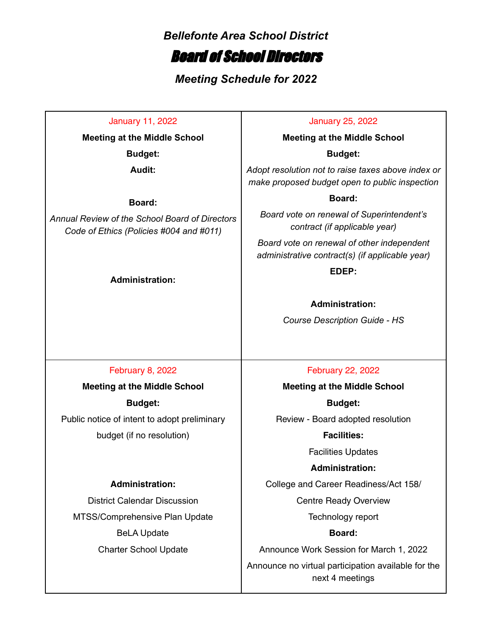### *Bellefonte Area School District*

# Board of School Directors

*Meeting Schedule for 2022*

January 11, 2022 **Meeting at the Middle School Budget: Audit: Board:** *Annual Review of the School Board of Directors Code of Ethics (Policies #004 and #011)* **Administration:** January 25, 2022 **Meeting at the Middle School Budget:** *Adopt resolution not to raise taxes above index or make proposed budget open to public inspection* **Board:** *Board vote on renewal of Superintendent's contract (if applicable year) Board vote on renewal of other independent administrative contract(s) (if applicable year)* **EDEP: Administration:** *Course Description Guide - HS* February 8, 2022 **Meeting at the Middle School Budget:** Public notice of intent to adopt preliminary budget (if no resolution) **Administration:** District Calendar Discussion MTSS/Comprehensive Plan Update BeLA Update Charter School Update February 22, 2022 **Meeting at the Middle School Budget:** Review - Board adopted resolution **Facilities:** Facilities Updates **Administration:** College and Career Readiness/Act 158/ Centre Ready Overview Technology report **Board:** Announce Work Session for March 1, 2022 Announce no virtual participation available for the

next 4 meetings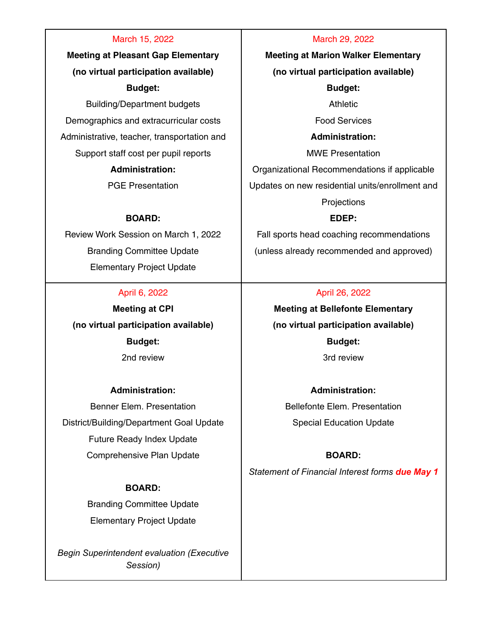#### March 15, 2022

**Meeting at Pleasant Gap Elementary (no virtual participation available) Budget:**

Building/Department budgets Demographics and extracurricular costs Administrative, teacher, transportation and Support staff cost per pupil reports

# **Administration:**

PGE Presentation

#### **BOARD:**

Review Work Session on March 1, 2022 Branding Committee Update Elementary Project Update

#### April 6, 2022

**Meeting at CPI (no virtual participation available) Budget:** 2nd review

#### **Administration:**

Benner Elem. Presentation District/Building/Department Goal Update Future Ready Index Update Comprehensive Plan Update

#### **BOARD:**

Branding Committee Update Elementary Project Update

*Begin Superintendent evaluation (Executive Session)*

#### March 29, 2022

**Meeting at Marion Walker Elementary (no virtual participation available) Budget:** Athletic Food Services **Administration:**

MWE Presentation

Organizational Recommendations if applicable

Updates on new residential units/enrollment and

**Projections** 

#### **EDEP:**

Fall sports head coaching recommendations (unless already recommended and approved)

#### April 26, 2022

**Meeting at Bellefonte Elementary (no virtual participation available) Budget:** 3rd review

## **Administration:** Bellefonte Elem. Presentation Special Education Update

#### **BOARD:**

*Statement of Financial Interest forms due May 1*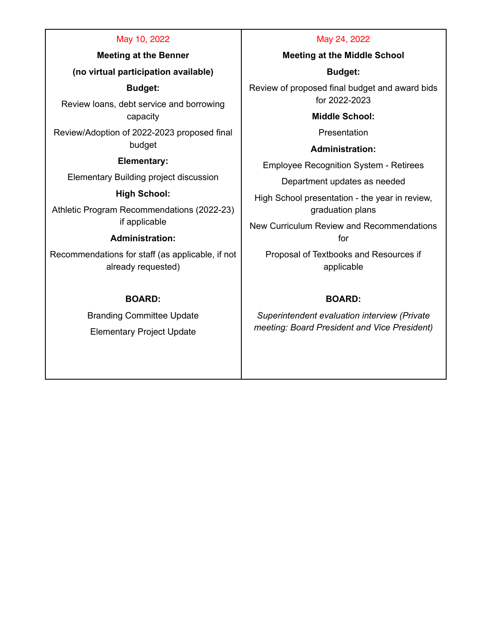#### May 10, 2022

**Meeting at the Benner**

**(no virtual participation available)**

**Budget:**

Review loans, debt service and borrowing capacity

Review/Adoption of 2022-2023 proposed final budget

**Elementary:**

Elementary Building project discussion

**High School:**

Athletic Program Recommendations (2022-23) if applicable

#### **Administration:**

Recommendations for staff (as applicable, if not already requested)

### **BOARD:**

Branding Committee Update Elementary Project Update

#### May 24, 2022

**Meeting at the Middle School**

**Budget:**

Review of proposed final budget and award bids for 2022-2023

**Middle School:**

Presentation

**Administration:**

Employee Recognition System - Retirees

Department updates as needed

High School presentation - the year in review, graduation plans

New Curriculum Review and Recommendations for

Proposal of Textbooks and Resources if applicable

### **BOARD:**

*Superintendent evaluation interview (Private meeting: Board President and Vice President)*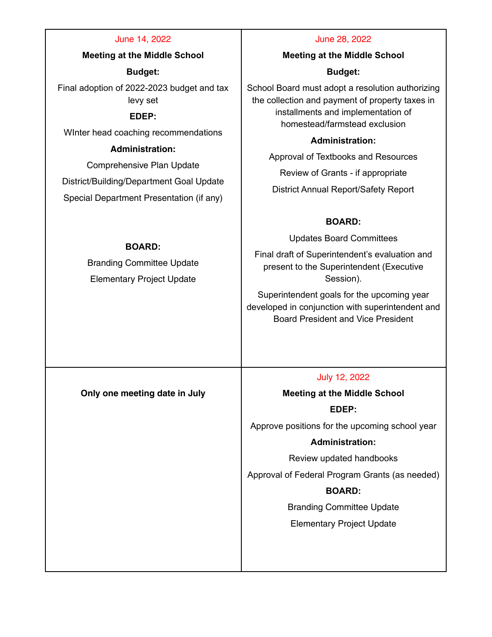| June 14, 2022                                                                         | June 28, 2022                                                                                                                                                              |
|---------------------------------------------------------------------------------------|----------------------------------------------------------------------------------------------------------------------------------------------------------------------------|
| <b>Meeting at the Middle School</b>                                                   | <b>Meeting at the Middle School</b>                                                                                                                                        |
| <b>Budget:</b>                                                                        | <b>Budget:</b>                                                                                                                                                             |
| Final adoption of 2022-2023 budget and tax<br>levy set<br>EDEP:                       | School Board must adopt a resolution authorizing<br>the collection and payment of property taxes in<br>installments and implementation of<br>homestead/farmstead exclusion |
| Winter head coaching recommendations                                                  | <b>Administration:</b>                                                                                                                                                     |
| <b>Administration:</b>                                                                | Approval of Textbooks and Resources                                                                                                                                        |
| Comprehensive Plan Update                                                             | Review of Grants - if appropriate                                                                                                                                          |
| District/Building/Department Goal Update<br>Special Department Presentation (if any)  | District Annual Report/Safety Report                                                                                                                                       |
|                                                                                       | <b>BOARD:</b>                                                                                                                                                              |
| <b>BOARD:</b><br><b>Branding Committee Update</b><br><b>Elementary Project Update</b> | <b>Updates Board Committees</b>                                                                                                                                            |
|                                                                                       | Final draft of Superintendent's evaluation and<br>present to the Superintendent (Executive<br>Session).                                                                    |
|                                                                                       | Superintendent goals for the upcoming year<br>developed in conjunction with superintendent and<br><b>Board President and Vice President</b>                                |
|                                                                                       |                                                                                                                                                                            |
|                                                                                       | July 12, 2022                                                                                                                                                              |
| Only one meeting date in July                                                         | <b>Meeting at the Middle School</b>                                                                                                                                        |
|                                                                                       | EDEP:                                                                                                                                                                      |
|                                                                                       | Approve positions for the upcoming school year                                                                                                                             |
|                                                                                       | <b>Administration:</b>                                                                                                                                                     |
|                                                                                       | Review updated handbooks                                                                                                                                                   |
|                                                                                       | Approval of Federal Program Grants (as needed)                                                                                                                             |
|                                                                                       | <b>BOARD:</b>                                                                                                                                                              |
|                                                                                       | <b>Branding Committee Update</b>                                                                                                                                           |
|                                                                                       | <b>Elementary Project Update</b>                                                                                                                                           |
|                                                                                       |                                                                                                                                                                            |
|                                                                                       |                                                                                                                                                                            |
|                                                                                       |                                                                                                                                                                            |